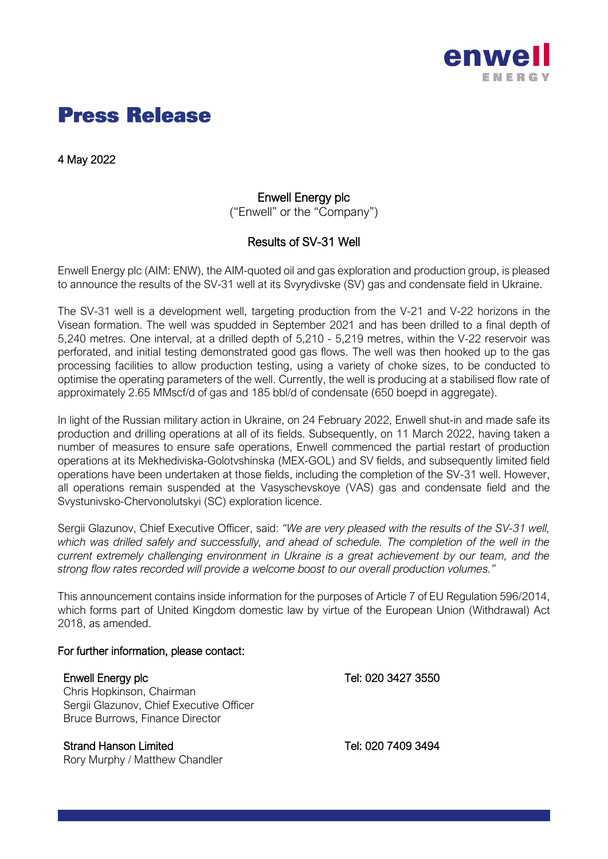

# **Press Release**

4 May 2022

# Enwell Energy plc

("Enwell" or the "Company")

# Results of SV-31 Well

Enwell Energy plc (AIM: ENW), the AIM-quoted oil and gas exploration and production group, is pleased to announce the results of the SV-31 well at its Svyrydivske (SV) gas and condensate field in Ukraine.

The SV-31 well is a development well, targeting production from the V-21 and V-22 horizons in the Visean formation. The well was spudded in September 2021 and has been drilled to a final depth of 5,240 metres. One interval, at a drilled depth of 5,210 - 5,219 metres, within the V-22 reservoir was perforated, and initial testing demonstrated good gas flows. The well was then hooked up to the gas processing facilities to allow production testing, using a variety of choke sizes, to be conducted to optimise the operating parameters of the well. Currently, the well is producing at a stabilised flow rate of approximately 2.65 MMscf/d of gas and 185 bbl/d of condensate (650 boepd in aggregate).

In light of the Russian military action in Ukraine, on 24 February 2022, Enwell shut-in and made safe its production and drilling operations at all of its fields. Subsequently, on 11 March 2022, having taken a number of measures to ensure safe operations, Enwell commenced the partial restart of production operations at its Mekhediviska-Golotvshinska (MEX-GOL) and SV fields, and subsequently limited field operations have been undertaken at those fields, including the completion of the SV-31 well. However, all operations remain suspended at the Vasyschevskoye (VAS) gas and condensate field and the Svystunivsko-Chervonolutskyi (SC) exploration licence.

Sergii Glazunov, Chief Executive Officer, said: *"We are very pleased with the results of the SV-31 well, which was drilled safely and successfully, and ahead of schedule. The completion of the well in the current extremely challenging environment in Ukraine is a great achievement by our team, and the strong flow rates recorded will provide a welcome boost to our overall production volumes."*

This announcement contains inside information for the purposes of Article 7 of EU Regulation 596/2014, which forms part of United Kingdom domestic law by virtue of the European Union (Withdrawal) Act 2018, as amended.

### For further information, please contact:

Chris Hopkinson, Chairman Sergii Glazunov, Chief Executive Officer Bruce Burrows, Finance Director

## Strand Hanson Limited Tel: 020 7409 3494

Rory Murphy / Matthew Chandler

Enwell Energy plc Tel: 020 3427 3550